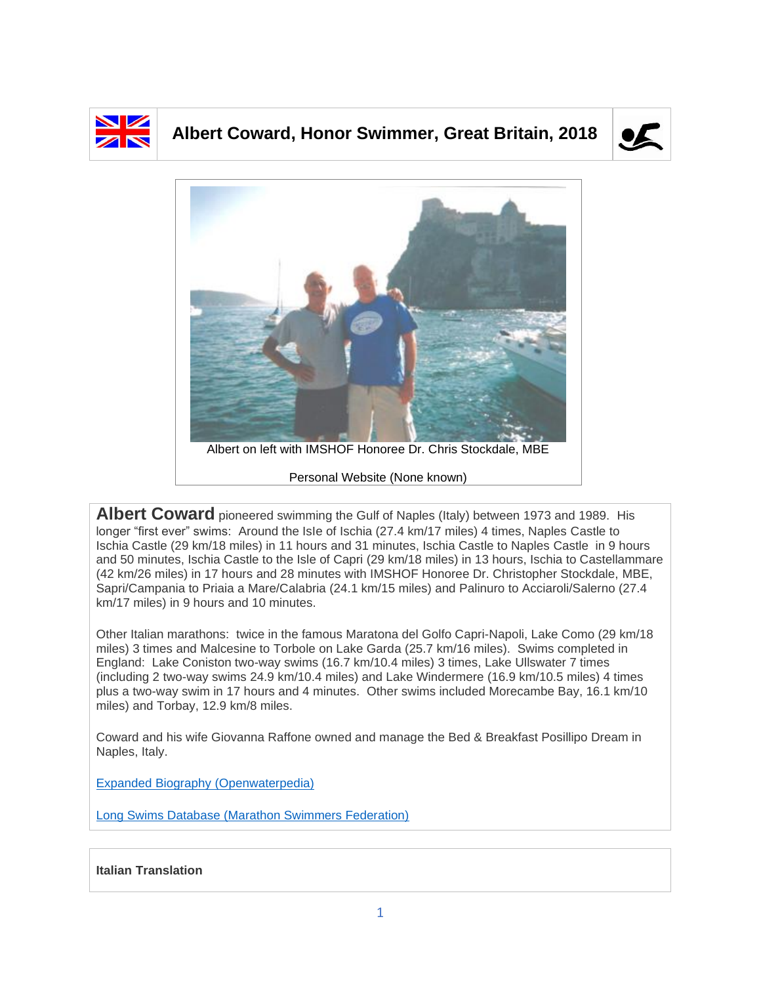

## **Albert Coward, Honor Swimmer, Great Britain, 2018**





**Albert Coward** pioneered swimming the Gulf of Naples (Italy) between 1973 and 1989. His longer "first ever" swims: Around the IsIe of Ischia (27.4 km/17 miles) 4 times, Naples Castle to Ischia Castle (29 km/18 miles) in 11 hours and 31 minutes, Ischia Castle to Naples Castle in 9 hours and 50 minutes, Ischia Castle to the Isle of Capri (29 km/18 miles) in 13 hours, Ischia to Castellammare (42 km/26 miles) in 17 hours and 28 minutes with IMSHOF Honoree Dr. Christopher Stockdale, MBE, Sapri/Campania to Priaia a Mare/Calabria (24.1 km/15 miles) and Palinuro to Acciaroli/Salerno (27.4 km/17 miles) in 9 hours and 10 minutes.

Other Italian marathons: twice in the famous Maratona del Golfo Capri-Napoli, Lake Como (29 km/18 miles) 3 times and Malcesine to Torbole on Lake Garda (25.7 km/16 miles). Swims completed in England: Lake Coniston two-way swims (16.7 km/10.4 miles) 3 times, Lake Ullswater 7 times (including 2 two-way swims 24.9 km/10.4 miles) and Lake Windermere (16.9 km/10.5 miles) 4 times plus a two-way swim in 17 hours and 4 minutes. Other swims included Morecambe Bay, 16.1 km/10 miles) and Torbay, 12.9 km/8 miles.

Coward and his wife Giovanna Raffone owned and manage the Bed & Breakfast Posillipo Dream in Naples, Italy.

[Expanded Biography](https://www.openwaterpedia.com/index.php?title=Albert_Coward) (Openwaterpedia)

Long Swims Database [\(Marathon Swimmers Federation\)](https://db.marathonswimmers.org/p/albert-coward/)

## **Italian Translation**